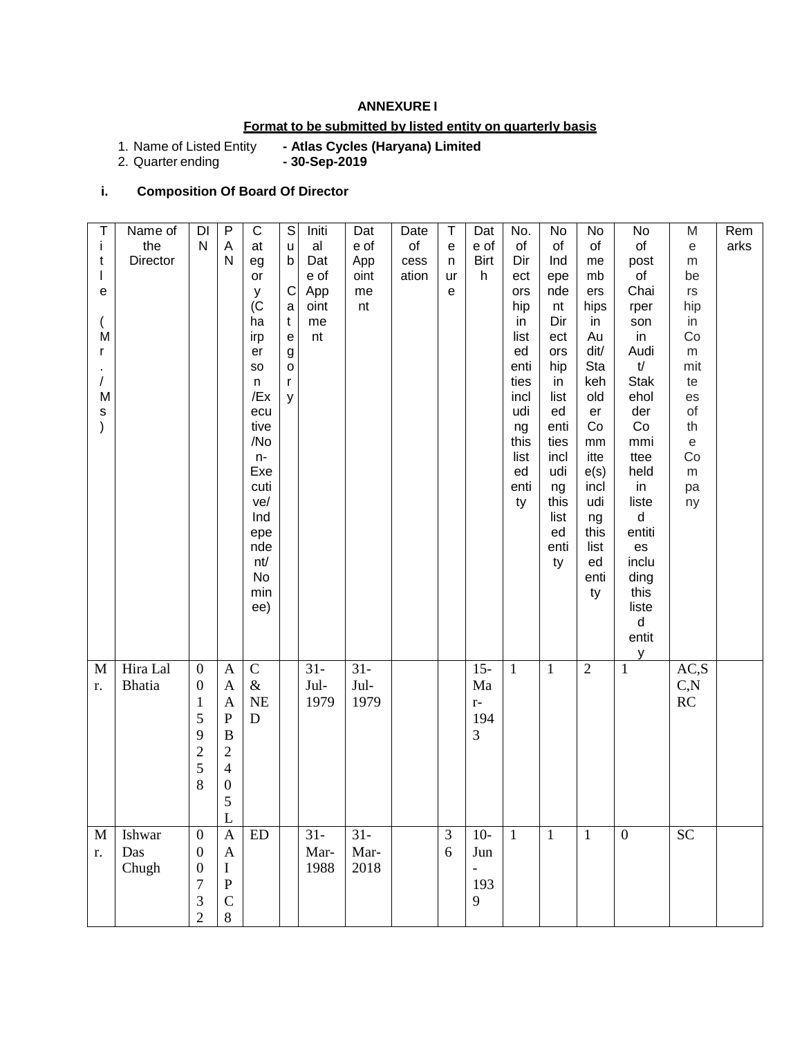#### **ANNEXURE I**

# **Format to be submitted by listed entity on quarterly basis**

# - Atlas Cycles (Haryana) Limited<br>- 30-Sep-2019

1. Name of Listed Entity<br>2. Quarter ending

# **i. Composition Of Board Of Director**

| Τ<br>j.<br>t<br>$\mathbf{I}$<br>е<br>M<br>$\mathsf{r}$<br>$\prime$<br>M<br>${\tt S}$<br>$\mathcal{E}$ | Name of<br>the<br>Director | $\mathsf{D}\mathsf{I}$<br>$\mathsf{N}$                                                            | $\overline{P}$<br>A<br>$\mathsf{N}$                                                                                               | $\overline{C}$<br>at<br>eg<br>or<br>У<br>(C)<br>ha<br>irp<br>er<br><b>SO</b><br>n<br>/Ex<br>ecu<br>tive<br>/No<br>$n-$<br>Exe<br>cuti<br>ve/<br>Ind<br>epe<br>nde<br>nt/<br>No<br>min<br>ee) | $\overline{s}$<br>u<br>$\mathsf b$<br>$\mathbf C$<br>a<br>$\mathsf{t}$<br>e<br>$\boldsymbol{g}$<br>$\mathsf{o}$<br>r<br>y | Initi<br>al<br>Dat<br>e of<br>App<br>oint<br>me<br>nt | Dat<br>e of<br>App<br>oint<br>me<br>nt | Date<br>of<br>cess<br>ation | T<br>e<br>n<br>ur<br>e | Dat<br>e of<br><b>Birt</b><br>h                      | No.<br>of<br>Dir<br>ect<br>ors<br>hip<br>in<br>list<br>ed<br>enti<br>ties<br>incl<br>udi<br>ng<br>this<br>list<br>ed<br>enti<br>ty | No<br>of<br>Ind<br>epe<br>nde<br>nt<br>Dir<br>ect<br>ors<br>hip<br>in<br>list<br>ed<br>enti<br>ties<br>incl<br>udi<br>ng<br>this<br>list<br>ed<br>enti<br>ty | No<br>of<br>me<br>mb<br>ers<br>hips<br>in<br>Au<br>dit/<br>Sta<br>keh<br>old<br>er<br>Co<br>mm<br>itte<br>e(s)<br>incl<br>udi<br>ng<br>this<br>list<br>ed<br>enti<br>ty | No<br>of<br>post<br>of<br>Chai<br>rper<br>son<br>in<br>Audi<br>$\mathsf{t\!$<br><b>Stak</b><br>ehol<br>der<br>Co<br>mmi<br>ttee<br>held<br>in<br>liste<br>$\sf d$<br>entiti<br>es<br>inclu<br>ding<br>this<br>liste<br>$\sf d$ | M<br>$\mathop{\mathrm{e}}$<br>${\sf m}$<br>be<br>$r s$<br>hip<br>in<br>Co<br>${\sf m}$<br>mit<br>te<br>es<br>of<br>th<br>$\mathsf{e}% _{t}\left( t\right)$<br>Co<br>${\sf m}$<br>pa<br>ny | Rem<br>arks |
|-------------------------------------------------------------------------------------------------------|----------------------------|---------------------------------------------------------------------------------------------------|-----------------------------------------------------------------------------------------------------------------------------------|----------------------------------------------------------------------------------------------------------------------------------------------------------------------------------------------|---------------------------------------------------------------------------------------------------------------------------|-------------------------------------------------------|----------------------------------------|-----------------------------|------------------------|------------------------------------------------------|------------------------------------------------------------------------------------------------------------------------------------|--------------------------------------------------------------------------------------------------------------------------------------------------------------|-------------------------------------------------------------------------------------------------------------------------------------------------------------------------|--------------------------------------------------------------------------------------------------------------------------------------------------------------------------------------------------------------------------------|-------------------------------------------------------------------------------------------------------------------------------------------------------------------------------------------|-------------|
| M<br>r.                                                                                               | Hira Lal<br><b>Bhatia</b>  | $\boldsymbol{0}$<br>$\boldsymbol{0}$<br>$\mathbf{1}$<br>5<br>9<br>$\overline{2}$<br>5<br>8        | $\mathbf{A}$<br>A<br>A<br>${\bf P}$<br>$\boldsymbol{B}$<br>$\mathbf{2}$<br>$\overline{\mathcal{A}}$<br>$\boldsymbol{0}$<br>5<br>L | ${\bf C}$<br>$\&$<br><b>NE</b><br>D                                                                                                                                                          |                                                                                                                           | $31 -$<br>Jul-<br>1979                                | $31 -$<br>Jul-<br>1979                 |                             |                        | $15 -$<br>$\rm{Ma}$<br>$\mathbf{r}$ –<br>194<br>3    | $\mathbf{1}$                                                                                                                       | $\mathbf{1}$                                                                                                                                                 | $\overline{2}$                                                                                                                                                          | entit<br>y<br>$\mathbf{1}$                                                                                                                                                                                                     | AC, S<br>C, N<br>$\mathbb{R}\mathbb{C}$                                                                                                                                                   |             |
| M<br>r.                                                                                               | Ishwar<br>Das<br>Chugh     | $\boldsymbol{0}$<br>$\boldsymbol{0}$<br>$\boldsymbol{0}$<br>7<br>$\mathfrak{Z}$<br>$\overline{c}$ | $\boldsymbol{\mathsf{A}}$<br>A<br>I<br>$\mathbf P$<br>$\mathcal{C}$<br>8                                                          | ED                                                                                                                                                                                           |                                                                                                                           | $31-$<br>Mar-<br>1988                                 | $31 -$<br>Mar-<br>2018                 |                             | 3<br>6                 | $10-$<br>Jun<br>$\overline{\phantom{0}}$<br>193<br>9 | $\mathbf{1}$                                                                                                                       | $\mathbf{1}$                                                                                                                                                 | $\mathbf{1}$                                                                                                                                                            | $\mathbf{0}$                                                                                                                                                                                                                   | <b>SC</b>                                                                                                                                                                                 |             |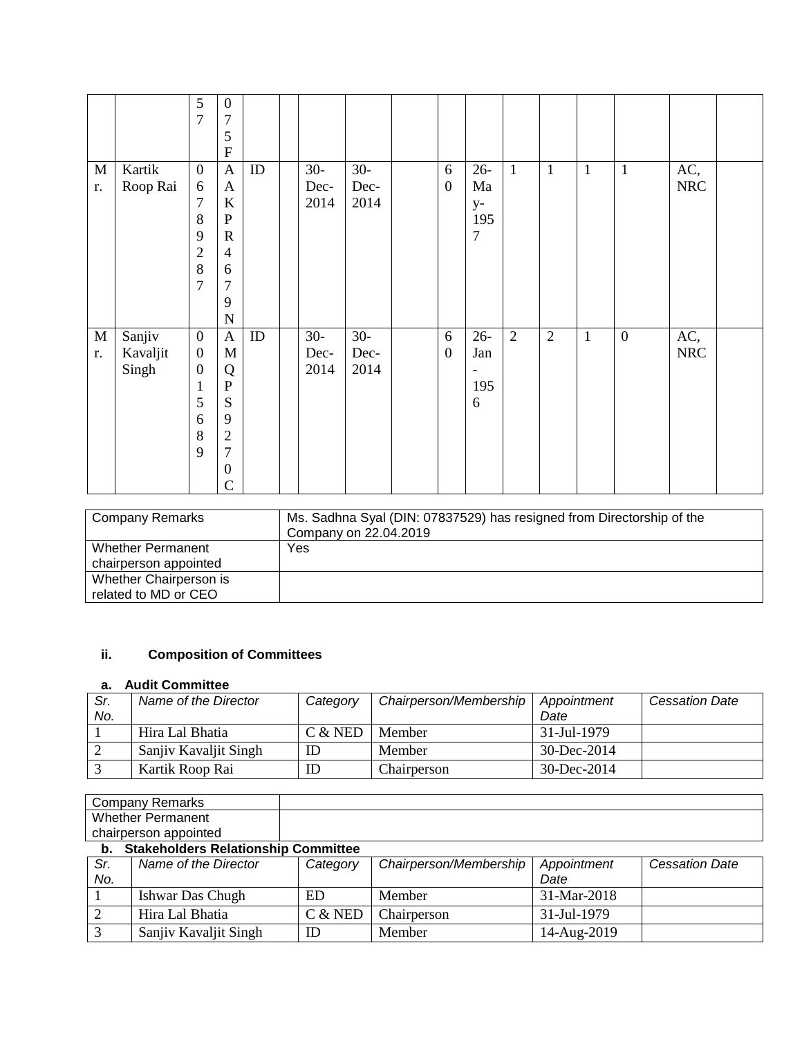|                   |                             | $\mathfrak{S}$<br>$\overline{7}$                                                                   | $\mathbf{0}$<br>7<br>5<br>${\bf F}$                                                                                                 |    |                       |                       |                       |                                                       |                |                |              |                  |                   |  |
|-------------------|-----------------------------|----------------------------------------------------------------------------------------------------|-------------------------------------------------------------------------------------------------------------------------------------|----|-----------------------|-----------------------|-----------------------|-------------------------------------------------------|----------------|----------------|--------------|------------------|-------------------|--|
| M<br>r.           | Kartik<br>Roop Rai          | $\boldsymbol{0}$<br>6<br>$\overline{7}$<br>8<br>9<br>$\overline{c}$<br>8<br>$\overline{7}$         | $\mathbf{A}$<br>$\mathbf{A}$<br>$\bf K$<br>$\, {\bf P}$<br>$\mathbf R$<br>$\overline{4}$<br>6<br>$\overline{7}$<br>9<br>$\mathbf N$ | ID | $30-$<br>Dec-<br>2014 | $30-$<br>Dec-<br>2014 | 6<br>$\boldsymbol{0}$ | $26 -$<br>Ma<br>$y-$<br>195<br>$\overline{7}$         | $\mathbf{1}$   | $\mathbf{1}$   | $\mathbf{1}$ | $\mathbf{1}$     | AC,<br><b>NRC</b> |  |
| $\mathbf M$<br>r. | Sanjiv<br>Kavaljit<br>Singh | $\boldsymbol{0}$<br>$\boldsymbol{0}$<br>$\boldsymbol{0}$<br>$\mathbf{1}$<br>5<br>6<br>$\,8\,$<br>9 | $\mathbf{A}$<br>$\mathbf M$<br>Q<br>${\bf P}$<br>S<br>9<br>$\overline{2}$<br>$\overline{7}$<br>$\mathbf{0}$<br>$\overline{C}$       | ID | $30-$<br>Dec-<br>2014 | $30-$<br>Dec-<br>2014 | 6<br>$\boldsymbol{0}$ | $26 -$<br>Jan<br>$\overline{\phantom{a}}$<br>195<br>6 | $\overline{2}$ | $\overline{2}$ | $\mathbf{1}$ | $\boldsymbol{0}$ | AC,<br><b>NRC</b> |  |

| <b>Company Remarks</b>   | Ms. Sadhna Syal (DIN: 07837529) has resigned from Directorship of the<br>Company on 22.04.2019 |
|--------------------------|------------------------------------------------------------------------------------------------|
| <b>Whether Permanent</b> | Yes                                                                                            |
| chairperson appointed    |                                                                                                |
| Whether Chairperson is   |                                                                                                |
| related to MD or CEO     |                                                                                                |

# **ii. Composition of Committees**

# **a. Audit Committee**

| Sr.<br>No. | Name of the Director  | Category  | Chairperson/Membership | Appointment<br>Date | <b>Cessation Date</b> |
|------------|-----------------------|-----------|------------------------|---------------------|-----------------------|
|            | Hira Lal Bhatia       | $C &$ NED | Member                 | 31-Jul-1979         |                       |
|            | Sanjiy Kavaljit Singh | ID        | Member                 | $30 - Dec - 2014$   |                       |
|            | Kartik Roop Rai       | ID        | Chairperson            | $30 - Dec - 2014$   |                       |

| Company Remarks                            |  |
|--------------------------------------------|--|
| Whether Permanent                          |  |
| chairperson appointed                      |  |
| <b>Stakeholders Relationship Committee</b> |  |

| Sr.<br>No. | Name of the Director  | Category  | Chairperson/Membership | Appointment<br>Date | <b>Cessation Date</b> |
|------------|-----------------------|-----------|------------------------|---------------------|-----------------------|
|            | Ishwar Das Chugh      | ED        | Member                 | $31-Mar-2018$       |                       |
|            | Hira Lal Bhatia       | $C &$ NED | Chairperson            | 31-Jul-1979         |                       |
|            | Sanjiy Kavaljit Singh | ID        | Member                 | 14-Aug-2019         |                       |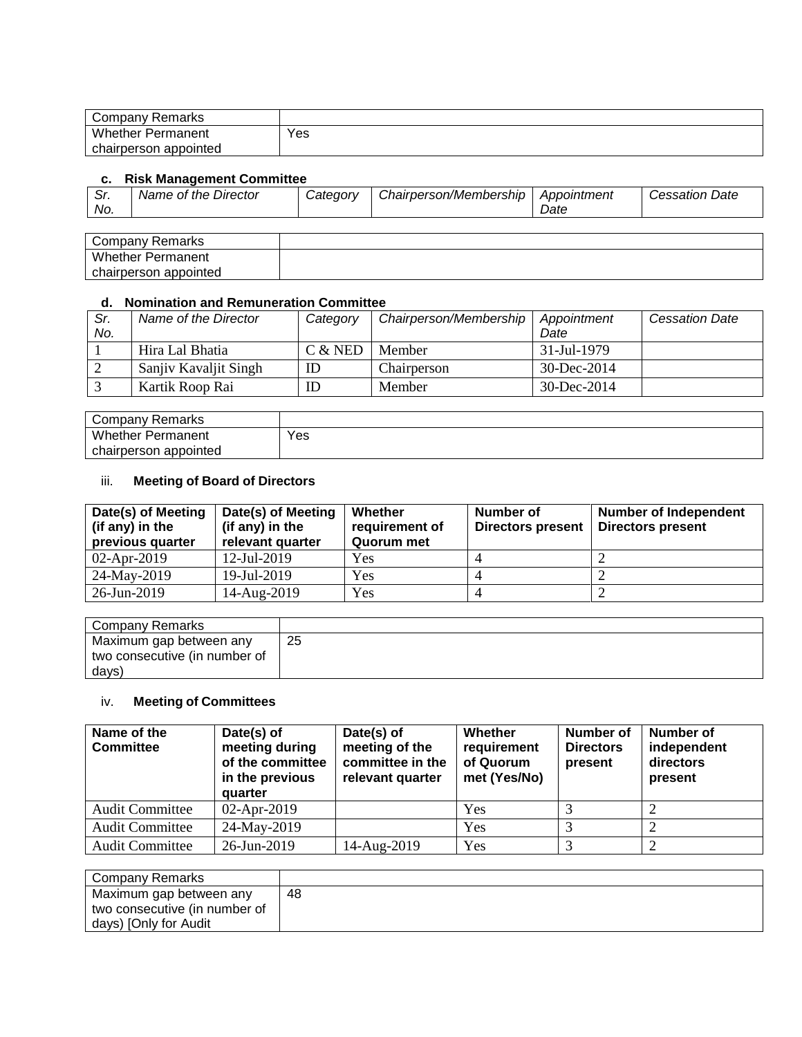| Company Remarks          |     |
|--------------------------|-----|
| <b>Whether Permanent</b> | Yes |
| chairperson appointed    |     |

#### **c. Risk Management Committee**

| ົ<br>. ات<br>No. | Name of the Director | <i>Catedorv</i> | Chairperson/Membership | Appointment<br>Date | Date<br><i>Cessation:</i> |
|------------------|----------------------|-----------------|------------------------|---------------------|---------------------------|
|                  |                      |                 |                        |                     |                           |

| Company Remarks          |  |
|--------------------------|--|
| Whether<br>Permanent     |  |
| appointed<br>chairperson |  |

#### **d. Nomination and Remuneration Committee**

| Sr.<br>No. | Name of the Director  | Category  | Chairperson/Membership | Appointment<br>Date | <b>Cessation Date</b> |
|------------|-----------------------|-----------|------------------------|---------------------|-----------------------|
|            | Hira Lal Bhatia       | $C &$ NED | Member                 | 31-Jul-1979         |                       |
|            | Sanjiy Kavaljit Singh | ID        | Chairperson            | $30 - Dec - 2014$   |                       |
|            | Kartik Roop Rai       | ID        | Member                 | $30 - Dec - 2014$   |                       |

| Company Remarks          |     |
|--------------------------|-----|
| <b>Whether Permanent</b> | Yes |
| chairperson appointed    |     |

## iii. **Meeting of Board of Directors**

| Date(s) of Meeting<br>(if any) in the<br>previous quarter | Date(s) of Meeting<br>(if any) in the<br>relevant quarter | Whether<br>requirement of<br>Quorum met | Number of<br><b>Directors present</b> | <b>Number of Independent</b><br><b>Directors present</b> |
|-----------------------------------------------------------|-----------------------------------------------------------|-----------------------------------------|---------------------------------------|----------------------------------------------------------|
| $02$ -Apr-2019                                            | $12$ -Jul-2019                                            | Yes                                     |                                       |                                                          |
| 24-May-2019                                               | 19-Jul-2019                                               | Yes                                     |                                       |                                                          |
| 26-Jun-2019                                               | 14-Aug-2019                                               | Yes                                     |                                       |                                                          |

| Company Remarks               |    |
|-------------------------------|----|
| Maximum gap between any       | 25 |
| two consecutive (in number of |    |
| days)                         |    |

# iv. **Meeting of Committees**

| Name of the<br><b>Committee</b> | Date(s) of<br>meeting during<br>of the committee<br>in the previous<br>quarter | Date(s) of<br>meeting of the<br>committee in the<br>relevant quarter | Whether<br>requirement<br>of Quorum<br>met (Yes/No) | Number of<br><b>Directors</b><br>present | Number of<br>independent<br>directors<br>present |
|---------------------------------|--------------------------------------------------------------------------------|----------------------------------------------------------------------|-----------------------------------------------------|------------------------------------------|--------------------------------------------------|
| <b>Audit Committee</b>          | $02-Apr-2019$                                                                  |                                                                      | Yes                                                 |                                          |                                                  |
| <b>Audit Committee</b>          | 24-May-2019                                                                    |                                                                      | Yes                                                 |                                          |                                                  |
| <b>Audit Committee</b>          | 26-Jun-2019                                                                    | 14-Aug-2019                                                          | Yes                                                 |                                          |                                                  |

| Company Remarks               |    |
|-------------------------------|----|
| Maximum gap between any       | 48 |
| two consecutive (in number of |    |
| days) [Only for Audit         |    |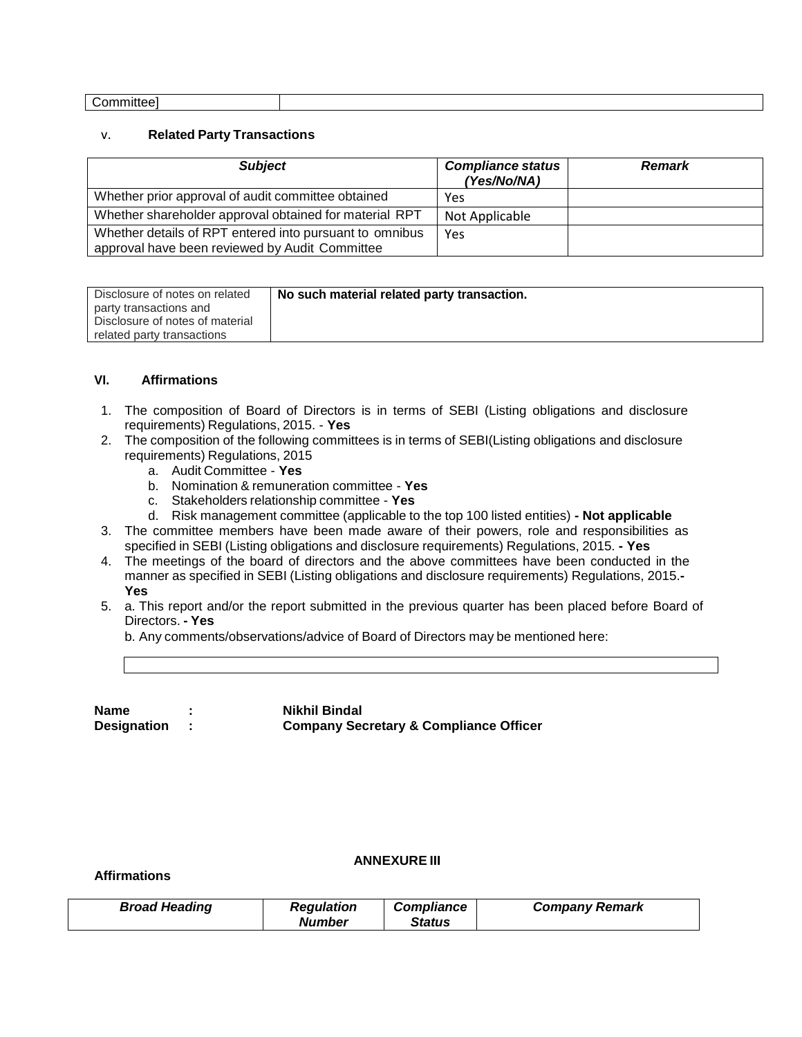#### v. **Related Party Transactions**

| <b>Subject</b>                                                                                            | <b>Compliance status</b><br>(Yes/No/NA) | <b>Remark</b> |
|-----------------------------------------------------------------------------------------------------------|-----------------------------------------|---------------|
| Whether prior approval of audit committee obtained                                                        | Yes                                     |               |
| Whether shareholder approval obtained for material RPT                                                    | Not Applicable                          |               |
| Whether details of RPT entered into pursuant to omnibus<br>approval have been reviewed by Audit Committee | Yes                                     |               |

| Disclosure of notes on related  | No such material related party transaction. |
|---------------------------------|---------------------------------------------|
| party transactions and          |                                             |
| Disclosure of notes of material |                                             |
| related party transactions      |                                             |

#### **VI. Affirmations**

- 1. The composition of Board of Directors is in terms of SEBI (Listing obligations and disclosure requirements) Regulations, 2015. - **Yes**
- 2. The composition of the following committees is in terms of SEBI(Listing obligations and disclosure requirements) Regulations, 2015
	- a. Audit Committee **Yes**
	- b. Nomination & remuneration committee **Yes**
	- c. Stakeholders relationship committee **Yes**
	- d. Risk management committee (applicable to the top 100 listed entities) **- Not applicable**
- 3. The committee members have been made aware of their powers, role and responsibilities as specified in SEBI (Listing obligations and disclosure requirements) Regulations, 2015. **- Yes**
- 4. The meetings of the board of directors and the above committees have been conducted in the manner as specified in SEBI (Listing obligations and disclosure requirements) Regulations, 2015.**- Yes**
- 5. a. This report and/or the report submitted in the previous quarter has been placed before Board of Directors. **- Yes**

b. Any comments/observations/advice of Board of Directors may be mentioned here:

**Name : Nikhil Bindal**

**Designation : Company Secretary & Compliance Officer**

#### **Affirmations**

#### **ANNEXURE III**

| <b>Broad Heading</b><br><b>Compliance</b><br><b>Regulation</b><br><b>Company Remark</b><br><b>Number</b><br><b>Status</b> |
|---------------------------------------------------------------------------------------------------------------------------|
|---------------------------------------------------------------------------------------------------------------------------|